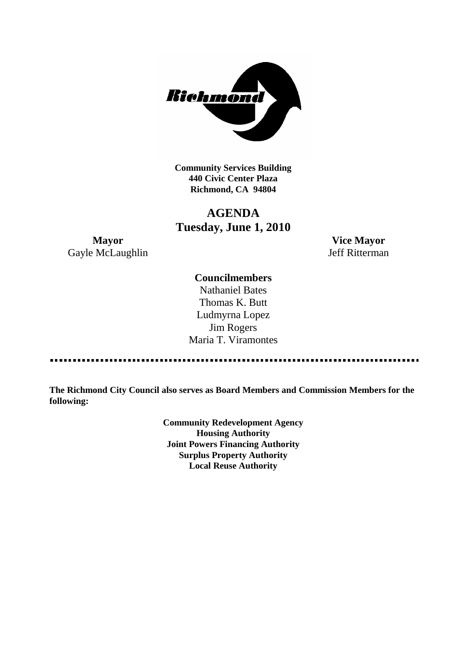

**Community Services Building 440 Civic Center Plaza Richmond, CA 94804**

## **AGENDA Tuesday, June 1, 2010**

**Mayor Vice Mayor** Gayle McLaughlin Jeff Ritterman

#### **Councilmembers**

Nathaniel Bates Thomas K. Butt Ludmyrna Lopez Jim Rogers Maria T. Viramontes

------------------------------------

**The Richmond City Council also serves as Board Members and Commission Members for the following:**

> **Community Redevelopment Agency Housing Authority Joint Powers Financing Authority Surplus Property Authority Local Reuse Authority**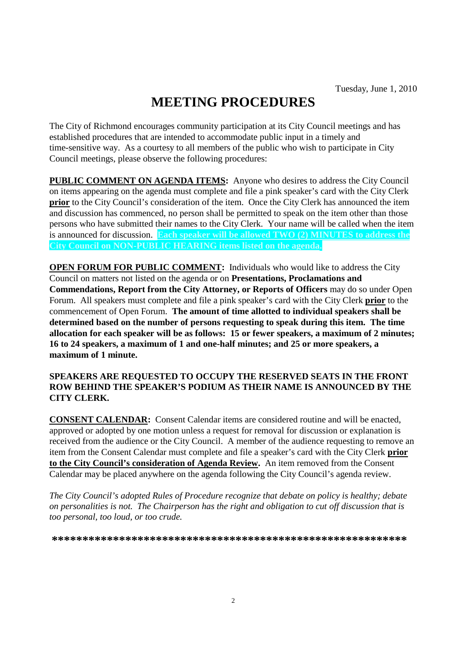# **MEETING PROCEDURES**

The City of Richmond encourages community participation at its City Council meetings and has established procedures that are intended to accommodate public input in a timely and time-sensitive way. As a courtesy to all members of the public who wish to participate in City Council meetings, please observe the following procedures:

**PUBLIC COMMENT ON AGENDA ITEMS:** Anyone who desires to address the City Council on items appearing on the agenda must complete and file a pink speaker's card with the City Clerk **prior** to the City Council's consideration of the item. Once the City Clerk has announced the item and discussion has commenced, no person shall be permitted to speak on the item other than those persons who have submitted their names to the City Clerk. Your name will be called when the item is announced for discussion. **Each speaker will be allowed TWO (2) MINUTES to address the City Council on NON-PUBLIC HEARING items listed on the agenda.**

**OPEN FORUM FOR PUBLIC COMMENT:** Individuals who would like to address the City Council on matters not listed on the agenda or on **Presentations, Proclamations and Commendations, Report from the City Attorney, or Reports of Officers** may do so under Open Forum. All speakers must complete and file a pink speaker's card with the City Clerk **prior** to the commencement of Open Forum. **The amount of time allotted to individual speakers shall be determined based on the number of persons requesting to speak during this item. The time allocation for each speaker will be as follows: 15 or fewer speakers, a maximum of 2 minutes; 16 to 24 speakers, a maximum of 1 and one-half minutes; and 25 or more speakers, a maximum of 1 minute.**

#### **SPEAKERS ARE REQUESTED TO OCCUPY THE RESERVED SEATS IN THE FRONT ROW BEHIND THE SPEAKER'S PODIUM AS THEIR NAME IS ANNOUNCED BY THE CITY CLERK.**

**CONSENT CALENDAR:** Consent Calendar items are considered routine and will be enacted, approved or adopted by one motion unless a request for removal for discussion or explanation is received from the audience or the City Council. A member of the audience requesting to remove an item from the Consent Calendar must complete and file a speaker's card with the City Clerk **prior to the City Council's consideration of Agenda Review.** An item removed from the Consent Calendar may be placed anywhere on the agenda following the City Council's agenda review.

*The City Council's adopted Rules of Procedure recognize that debate on policy is healthy; debate on personalities is not. The Chairperson has the right and obligation to cut off discussion that is too personal, too loud, or too crude.*

**\*\*\*\*\*\*\*\*\*\*\*\*\*\*\*\*\*\*\*\*\*\*\*\*\*\*\*\*\*\*\*\*\*\*\*\*\*\*\*\*\*\*\*\*\*\*\*\*\*\*\*\*\*\*\*\*\*\***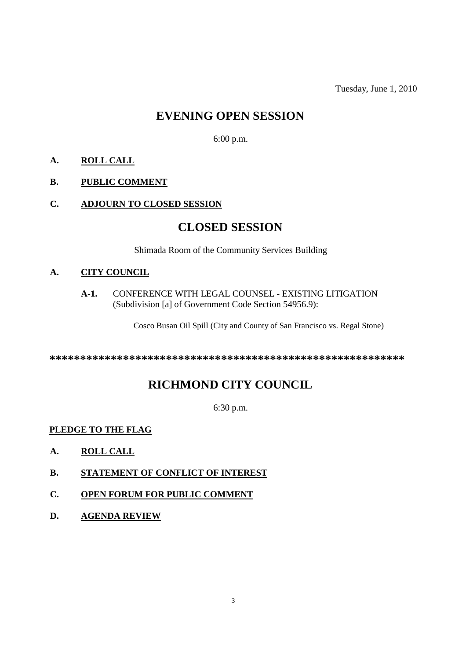Tuesday, June 1, 2010

## **EVENING OPEN SESSION**

6:00 p.m.

#### **A. ROLL CALL**

#### **B. PUBLIC COMMENT**

#### **C. ADJOURN TO CLOSED SESSION**

### **CLOSED SESSION**

Shimada Room of the Community Services Building

#### **A. CITY COUNCIL**

**A-1.** CONFERENCE WITH LEGAL COUNSEL - EXISTING LITIGATION (Subdivision [a] of Government Code Section 54956.9):

Cosco Busan Oil Spill (City and County of San Francisco vs. Regal Stone)

**\*\*\*\*\*\*\*\*\*\*\*\*\*\*\*\*\*\*\*\*\*\*\*\*\*\*\*\*\*\*\*\*\*\*\*\*\*\*\*\*\*\*\*\*\*\*\*\*\*\*\*\*\*\*\*\*\*\***

# **RICHMOND CITY COUNCIL**

6:30 p.m.

#### **PLEDGE TO THE FLAG**

- **A. ROLL CALL**
- **B. STATEMENT OF CONFLICT OF INTEREST**
- **C. OPEN FORUM FOR PUBLIC COMMENT**
- **D. AGENDA REVIEW**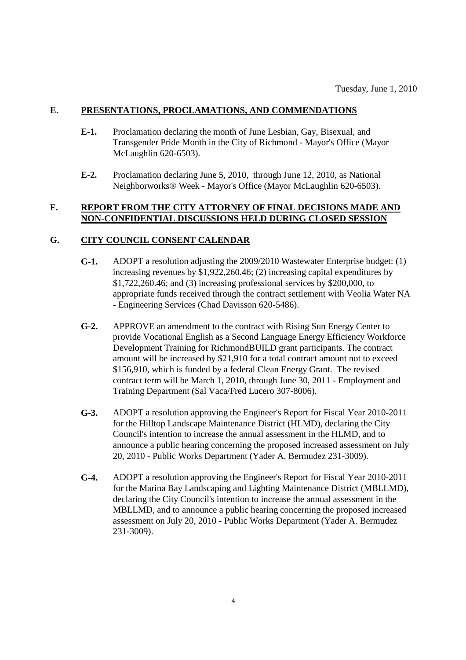#### **E. PRESENTATIONS, PROCLAMATIONS, AND COMMENDATIONS**

- **E-1.** Proclamation declaring the month of June Lesbian, Gay, Bisexual, and Transgender Pride Month in the City of Richmond - Mayor's Office (Mayor McLaughlin 620-6503).
- **E-2.** Proclamation declaring June 5, 2010, through June 12, 2010, as National Neighborworks® Week - Mayor's Office (Mayor McLaughlin 620-6503).

#### **F. REPORT FROM THE CITY ATTORNEY OF FINAL DECISIONS MADE AND NON-CONFIDENTIAL DISCUSSIONS HELD DURING CLOSED SESSION**

#### **G. CITY COUNCIL CONSENT CALENDAR**

- **G-1.** ADOPT a resolution adjusting the 2009/2010 Wastewater Enterprise budget: (1) increasing revenues by \$1,922,260.46; (2) increasing capital expenditures by \$1,722,260.46; and (3) increasing professional services by \$200,000, to appropriate funds received through the contract settlement with Veolia Water NA - Engineering Services (Chad Davisson 620-5486).
- **G-2.** APPROVE an amendment to the contract with Rising Sun Energy Center to provide Vocational English as a Second Language Energy Efficiency Workforce Development Training for RichmondBUILD grant participants. The contract amount will be increased by \$21,910 for a total contract amount not to exceed \$156,910, which is funded by a federal Clean Energy Grant. The revised contract term will be March 1, 2010, through June 30, 2011 - Employment and Training Department (Sal Vaca/Fred Lucero 307-8006).
- **G-3.** ADOPT a resolution approving the Engineer's Report for Fiscal Year 2010-2011 for the Hilltop Landscape Maintenance District (HLMD), declaring the City Council's intention to increase the annual assessment in the HLMD, and to announce a public hearing concerning the proposed increased assessment on July 20, 2010 - Public Works Department (Yader A. Bermudez 231-3009).
- **G-4.** ADOPT a resolution approving the Engineer's Report for Fiscal Year 2010-2011 for the Marina Bay Landscaping and Lighting Maintenance District (MBLLMD), declaring the City Council's intention to increase the annual assessment in the MBLLMD, and to announce a public hearing concerning the proposed increased assessment on July 20, 2010 - Public Works Department (Yader A. Bermudez 231-3009).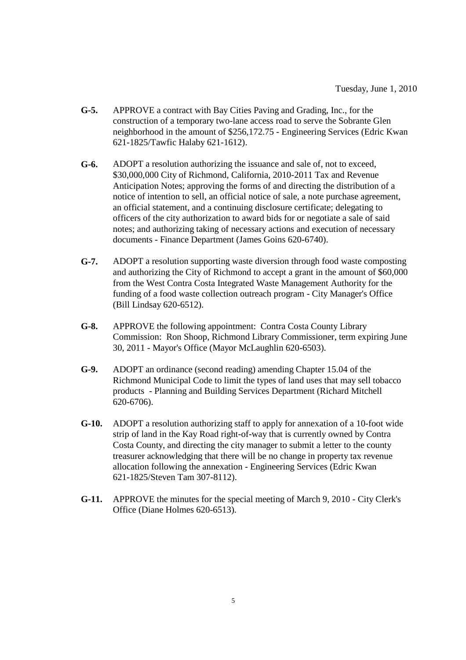- **G-5.** APPROVE a contract with Bay Cities Paving and Grading, Inc., for the construction of a temporary two-lane access road to serve the Sobrante Glen neighborhood in the amount of \$256,172.75 - Engineering Services (Edric Kwan 621-1825/Tawfic Halaby 621-1612).
- **G-6.** ADOPT a resolution authorizing the issuance and sale of, not to exceed, \$30,000,000 City of Richmond, California, 2010-2011 Tax and Revenue Anticipation Notes; approving the forms of and directing the distribution of a notice of intention to sell, an official notice of sale, a note purchase agreement, an official statement, and a continuing disclosure certificate; delegating to officers of the city authorization to award bids for or negotiate a sale of said notes; and authorizing taking of necessary actions and execution of necessary documents - Finance Department (James Goins 620-6740).
- **G-7.** ADOPT a resolution supporting waste diversion through food waste composting and authorizing the City of Richmond to accept a grant in the amount of \$60,000 from the West Contra Costa Integrated Waste Management Authority for the funding of a food waste collection outreach program - City Manager's Office (Bill Lindsay 620-6512).
- **G-8.** APPROVE the following appointment: Contra Costa County Library Commission: Ron Shoop, Richmond Library Commissioner, term expiring June 30, 2011 - Mayor's Office (Mayor McLaughlin 620-6503).
- **G-9.** ADOPT an ordinance (second reading) amending Chapter 15.04 of the Richmond Municipal Code to limit the types of land uses that may sell tobacco products - Planning and Building Services Department (Richard Mitchell 620-6706).
- **G-10.** ADOPT a resolution authorizing staff to apply for annexation of a 10-foot wide strip of land in the Kay Road right-of-way that is currently owned by Contra Costa County, and directing the city manager to submit a letter to the county treasurer acknowledging that there will be no change in property tax revenue allocation following the annexation - Engineering Services (Edric Kwan 621-1825/Steven Tam 307-8112).
- **G-11.** APPROVE the minutes for the special meeting of March 9, 2010 City Clerk's Office (Diane Holmes 620-6513).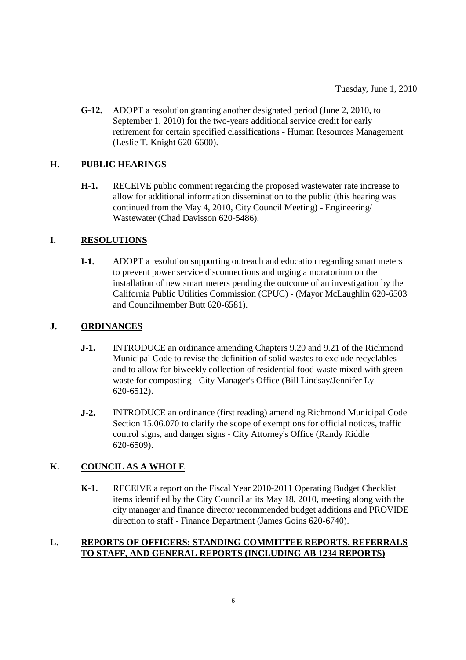**G-12.** ADOPT a resolution granting another designated period (June 2, 2010, to September 1, 2010) for the two-years additional service credit for early retirement for certain specified classifications - Human Resources Management (Leslie T. Knight 620-6600).

#### **H. PUBLIC HEARINGS**

**H-1.** RECEIVE public comment regarding the proposed wastewater rate increase to allow for additional information dissemination to the public (this hearing was continued from the May 4, 2010, City Council Meeting) - Engineering/ Wastewater (Chad Davisson 620-5486).

#### **I. RESOLUTIONS**

**I-1.** ADOPT a resolution supporting outreach and education regarding smart meters to prevent power service disconnections and urging a moratorium on the installation of new smart meters pending the outcome of an investigation by the California Public Utilities Commission (CPUC) - (Mayor McLaughlin 620-6503 and Councilmember Butt 620-6581).

#### **J. ORDINANCES**

- **J-1.** INTRODUCE an ordinance amending Chapters 9.20 and 9.21 of the Richmond Municipal Code to revise the definition of solid wastes to exclude recyclables and to allow for biweekly collection of residential food waste mixed with green waste for composting - City Manager's Office (Bill Lindsay/Jennifer Ly 620-6512).
- **J-2.** INTRODUCE an ordinance (first reading) amending Richmond Municipal Code Section 15.06.070 to clarify the scope of exemptions for official notices, traffic control signs, and danger signs - City Attorney's Office (Randy Riddle 620-6509).

#### **K. COUNCIL AS A WHOLE**

**K-1.** RECEIVE a report on the Fiscal Year 2010-2011 Operating Budget Checklist items identified by the City Council at its May 18, 2010, meeting along with the city manager and finance director recommended budget additions and PROVIDE direction to staff - Finance Department (James Goins 620-6740).

#### **L. REPORTS OF OFFICERS: STANDING COMMITTEE REPORTS, REFERRALS TO STAFF, AND GENERAL REPORTS (INCLUDING AB 1234 REPORTS)**